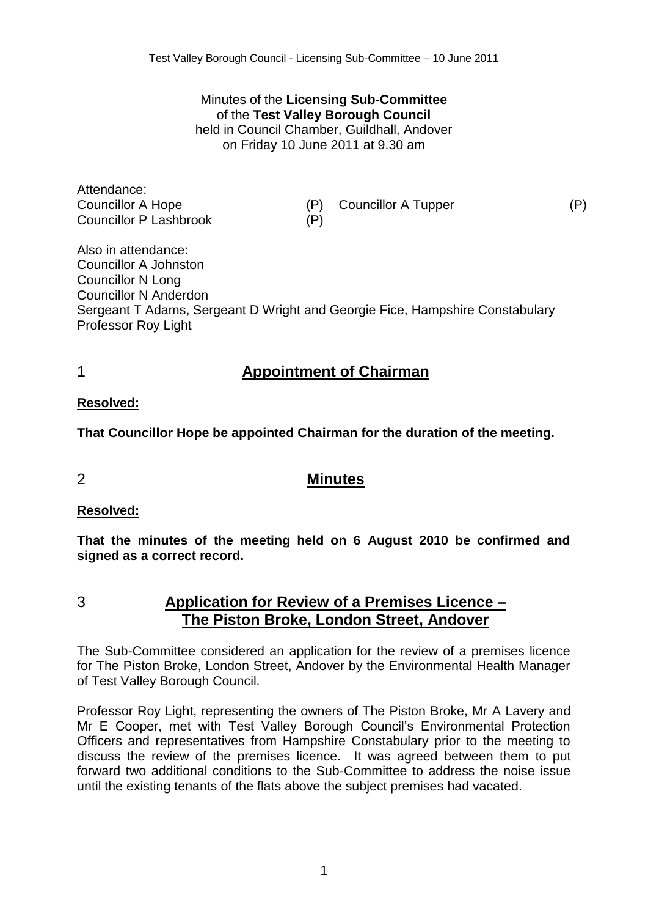Minutes of the **Licensing Sub-Committee** of the **Test Valley Borough Council** held in Council Chamber, Guildhall, Andover on Friday 10 June 2011 at 9.30 am

Attendance: Councillor A Hope (P) Councillor A Tupper (P) Councillor P Lashbrook (P)

Also in attendance: Councillor A Johnston Councillor N Long Councillor N Anderdon Sergeant T Adams, Sergeant D Wright and Georgie Fice, Hampshire Constabulary Professor Roy Light

# 1 **Appointment of Chairman**

**Resolved:**

**That Councillor Hope be appointed Chairman for the duration of the meeting.**

## 2 **Minutes**

## **Resolved:**

**That the minutes of the meeting held on 6 August 2010 be confirmed and signed as a correct record.**

3 **Application for Review of a Premises Licence – The Piston Broke, London Street, Andover**

The Sub-Committee considered an application for the review of a premises licence for The Piston Broke, London Street, Andover by the Environmental Health Manager of Test Valley Borough Council.

Professor Roy Light, representing the owners of The Piston Broke, Mr A Lavery and Mr E Cooper, met with Test Valley Borough Council's Environmental Protection Officers and representatives from Hampshire Constabulary prior to the meeting to discuss the review of the premises licence. It was agreed between them to put forward two additional conditions to the Sub-Committee to address the noise issue until the existing tenants of the flats above the subject premises had vacated.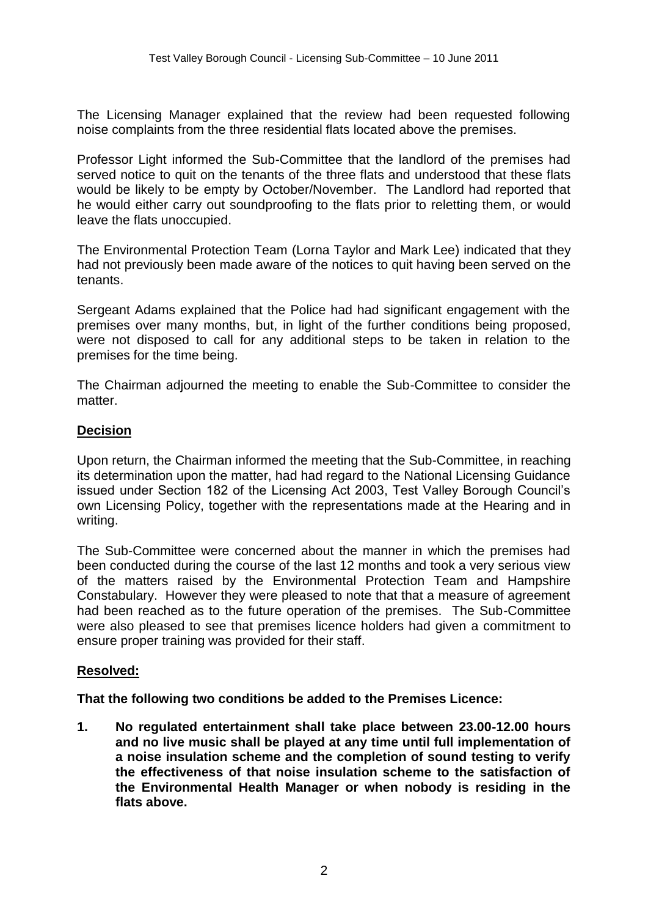The Licensing Manager explained that the review had been requested following noise complaints from the three residential flats located above the premises.

Professor Light informed the Sub-Committee that the landlord of the premises had served notice to quit on the tenants of the three flats and understood that these flats would be likely to be empty by October/November. The Landlord had reported that he would either carry out soundproofing to the flats prior to reletting them, or would leave the flats unoccupied.

The Environmental Protection Team (Lorna Taylor and Mark Lee) indicated that they had not previously been made aware of the notices to quit having been served on the tenants.

Sergeant Adams explained that the Police had had significant engagement with the premises over many months, but, in light of the further conditions being proposed, were not disposed to call for any additional steps to be taken in relation to the premises for the time being.

The Chairman adjourned the meeting to enable the Sub-Committee to consider the matter.

### **Decision**

Upon return, the Chairman informed the meeting that the Sub-Committee, in reaching its determination upon the matter, had had regard to the National Licensing Guidance issued under Section 182 of the Licensing Act 2003, Test Valley Borough Council's own Licensing Policy, together with the representations made at the Hearing and in writing.

The Sub-Committee were concerned about the manner in which the premises had been conducted during the course of the last 12 months and took a very serious view of the matters raised by the Environmental Protection Team and Hampshire Constabulary. However they were pleased to note that that a measure of agreement had been reached as to the future operation of the premises. The Sub-Committee were also pleased to see that premises licence holders had given a commitment to ensure proper training was provided for their staff.

### **Resolved:**

**That the following two conditions be added to the Premises Licence:**

**1. No regulated entertainment shall take place between 23.00-12.00 hours and no live music shall be played at any time until full implementation of a noise insulation scheme and the completion of sound testing to verify the effectiveness of that noise insulation scheme to the satisfaction of the Environmental Health Manager or when nobody is residing in the flats above.**